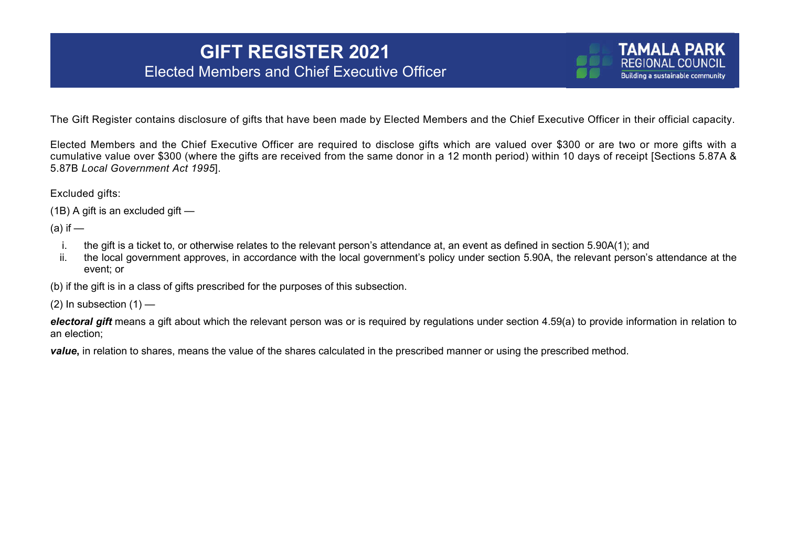## **GIFT REGISTER 2021** Elected Members and Chief Executive Officer

The Gift Register contains disclosure of gifts that have been made by Elected Members and the Chief Executive Officer in their official capacity.

**TAMALA PARK** REGIONAL COLINCIL **Building a sustainable community** 

Elected Members and the Chief Executive Officer are required to disclose gifts which are valued over \$300 or are two or more gifts with a cumulative value over \$300 (where the gifts are received from the same donor in a 12 month period) within 10 days of receipt [Sections 5.87A & 5.87B *Local Government Act 1995*].

Excluded gifts:

```
(1B) A gift is an excluded gift —
```
 $(a)$  if  $-$ 

- i. the gift is a ticket to, or otherwise relates to the relevant person's attendance at, an event as defined in section 5.90A(1); and
- ii. the local government approves, in accordance with the local government's policy under section 5.90A, the relevant person's attendance at the event; or

(b) if the gift is in a class of gifts prescribed for the purposes of this subsection.

 $(2)$  In subsection  $(1)$  —

*electoral gift* means a gift about which the relevant person was or is required by regulations under section 4.59(a) to provide information in relation to an election;

*value***,** in relation to shares, means the value of the shares calculated in the prescribed manner or using the prescribed method.